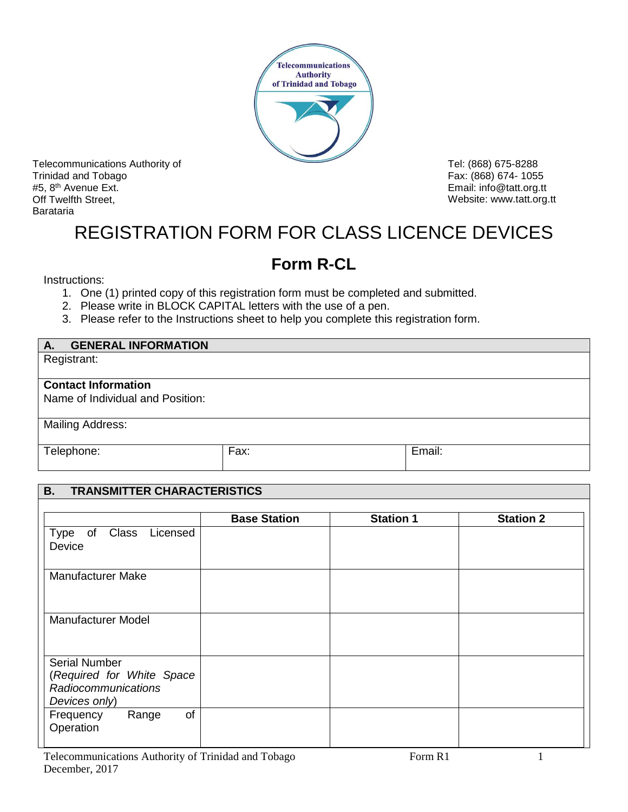

Telecommunications Authority of Trinidad and Tobago #5, 8<sup>th</sup> Avenue Ext. Off Twelfth Street, Barataria

Tel: (868) 675-8288 Fax: (868) 674- 1055 Email: [info@tatt.org.tt](mailto:info@tatt.org.tt) Website: www.tatt.org.tt

## REGISTRATION FORM FOR CLASS LICENCE DEVICES

## **Form R-CL**

Instructions:

- 1. One (1) printed copy of this registration form must be completed and submitted.
- 2. Please write in BLOCK CAPITAL letters with the use of a pen.
- 3. Please refer to the Instructions sheet to help you complete this registration form.

| <b>GENERAL INFORMATION</b><br>А. |      |        |
|----------------------------------|------|--------|
| Registrant:                      |      |        |
|                                  |      |        |
| <b>Contact Information</b>       |      |        |
| Name of Individual and Position: |      |        |
|                                  |      |        |
| <b>Mailing Address:</b>          |      |        |
|                                  |      |        |
| Telephone:                       | Fax: | Email: |
|                                  |      |        |

## **B. TRANSMITTER CHARACTERISTICS**

|                                                                                    | <b>Base Station</b> | <b>Station 1</b> | <b>Station 2</b> |
|------------------------------------------------------------------------------------|---------------------|------------------|------------------|
| Type of Class Licensed<br>Device                                                   |                     |                  |                  |
| <b>Manufacturer Make</b>                                                           |                     |                  |                  |
| <b>Manufacturer Model</b>                                                          |                     |                  |                  |
| Serial Number<br>(Required for White Space<br>Radiocommunications<br>Devices only) |                     |                  |                  |
| of<br>Range<br>Frequency<br>Operation                                              |                     |                  |                  |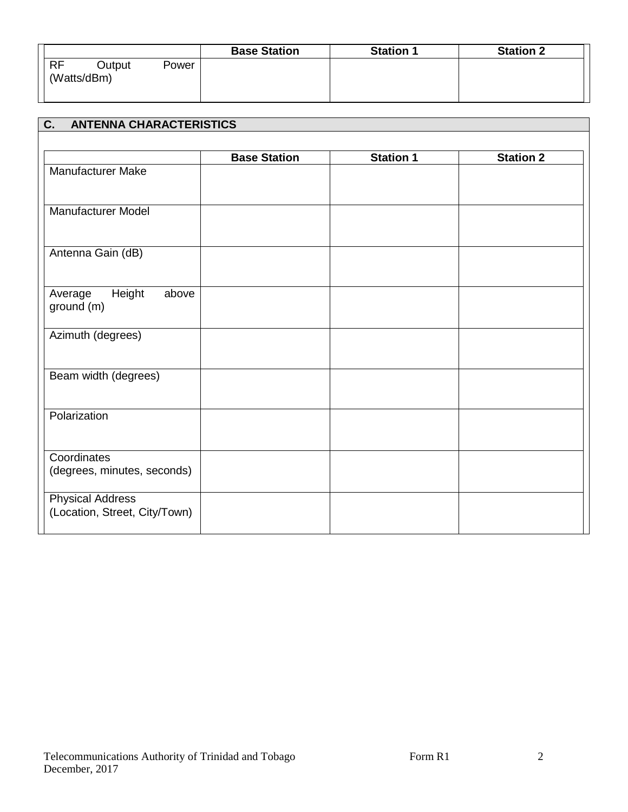|                             |       | <b>Base Station</b> | <b>Station 1</b> | <b>Station 2</b> |
|-----------------------------|-------|---------------------|------------------|------------------|
| RF<br>Output<br>(Watts/dBm) | Power |                     |                  |                  |
|                             |       |                     |                  |                  |

| <b>ANTENNA CHARACTERISTICS</b><br>$\overline{C}$ .       |                     |                  |                  |
|----------------------------------------------------------|---------------------|------------------|------------------|
|                                                          |                     |                  |                  |
|                                                          | <b>Base Station</b> | <b>Station 1</b> | <b>Station 2</b> |
| Manufacturer Make                                        |                     |                  |                  |
| <b>Manufacturer Model</b>                                |                     |                  |                  |
| Antenna Gain (dB)                                        |                     |                  |                  |
| Height<br>Average<br>above<br>ground (m)                 |                     |                  |                  |
| Azimuth (degrees)                                        |                     |                  |                  |
| Beam width (degrees)                                     |                     |                  |                  |
| Polarization                                             |                     |                  |                  |
| Coordinates<br>(degrees, minutes, seconds)               |                     |                  |                  |
| <b>Physical Address</b><br>(Location, Street, City/Town) |                     |                  |                  |